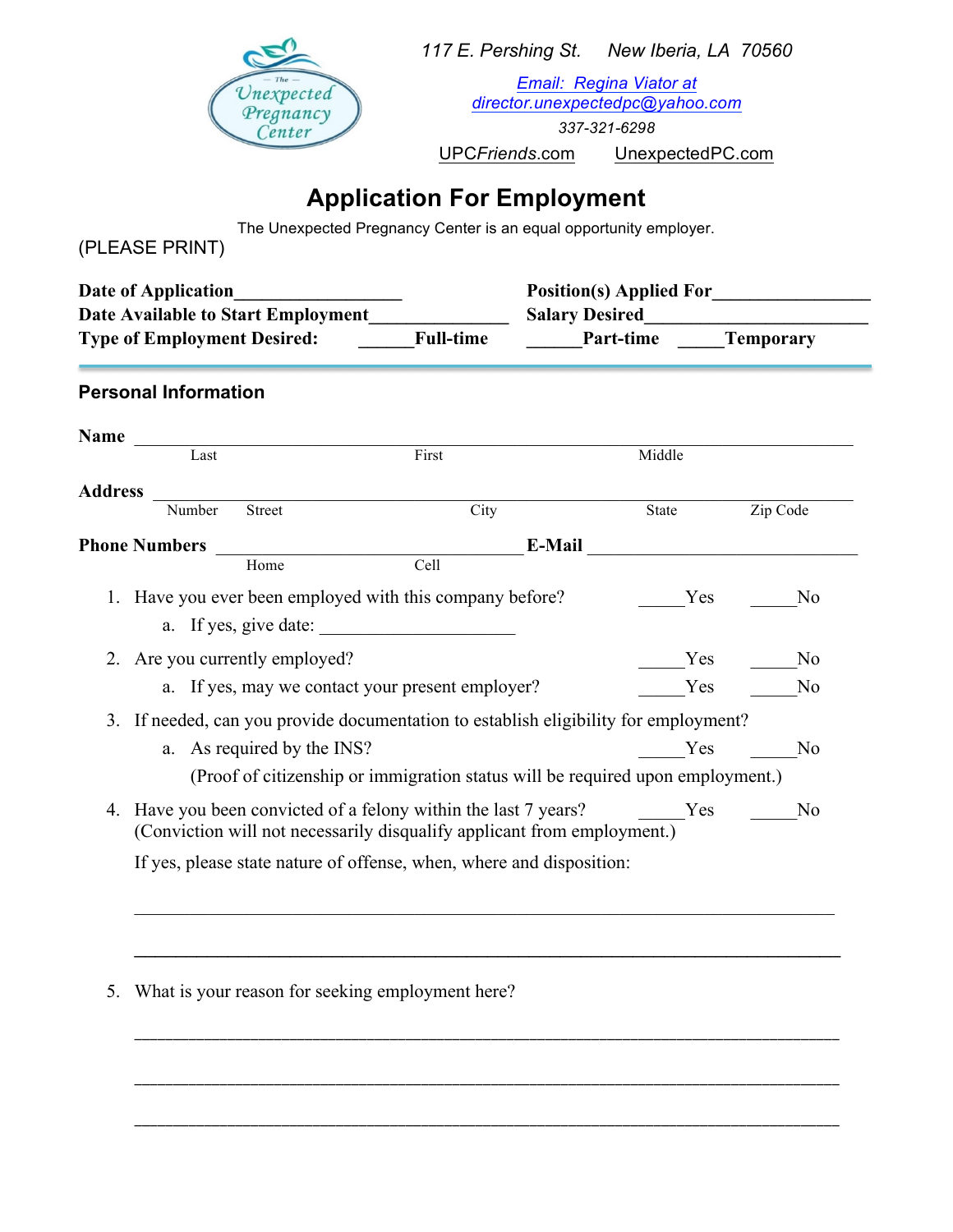

*117 E. Pershing St. New Iberia, LA 70560*

*Email: Regina Viator at director.unexpectedpc@yahoo.com*

*337-321-6298* 

UPC*Friends*.com UnexpectedPC.com

## **Application For Employment**

The Unexpected Pregnancy Center is an equal opportunity employer.

(PLEASE PRINT)

| Date of Application<br><b>Date Available to Start Employment</b><br><b>Type of Employment Desired:</b> |                                                                      |                                | <b>Full-time</b>                                                                                                                                    | <b>Salary Desired</b><br><b>Part-time Temporary</b> |        |                                                      |  |  |
|--------------------------------------------------------------------------------------------------------|----------------------------------------------------------------------|--------------------------------|-----------------------------------------------------------------------------------------------------------------------------------------------------|-----------------------------------------------------|--------|------------------------------------------------------|--|--|
|                                                                                                        | <b>Personal Information</b>                                          |                                |                                                                                                                                                     |                                                     |        |                                                      |  |  |
|                                                                                                        | Name $\frac{1}{\sqrt{1-x^2}}$                                        |                                |                                                                                                                                                     |                                                     |        |                                                      |  |  |
|                                                                                                        |                                                                      |                                | First                                                                                                                                               |                                                     | Middle |                                                      |  |  |
| <b>Address</b>                                                                                         | Number                                                               | <b>Street</b>                  | City                                                                                                                                                |                                                     | State  | Zip Code                                             |  |  |
|                                                                                                        | <b>Phone Numbers</b>                                                 | Home                           | Cell                                                                                                                                                | E-Mail                                              |        | <u> 1986 - Johann Stone, Amerikaansk politiker (</u> |  |  |
|                                                                                                        |                                                                      |                                | 1. Have you ever been employed with this company before?<br>a. If yes, give date:                                                                   |                                                     | Yes    | N <sub>0</sub>                                       |  |  |
|                                                                                                        |                                                                      | 2. Are you currently employed? |                                                                                                                                                     |                                                     | Yes    | N <sub>0</sub>                                       |  |  |
|                                                                                                        |                                                                      |                                | a. If yes, may we contact your present employer?                                                                                                    |                                                     | Yes    | N <sub>0</sub>                                       |  |  |
| 3. If needed, can you provide documentation to establish eligibility for employment?                   |                                                                      |                                |                                                                                                                                                     |                                                     |        |                                                      |  |  |
|                                                                                                        |                                                                      | a. As required by the INS?     |                                                                                                                                                     |                                                     | Yes    | N <sub>0</sub>                                       |  |  |
|                                                                                                        |                                                                      |                                | (Proof of citizenship or immigration status will be required upon employment.)                                                                      |                                                     |        |                                                      |  |  |
|                                                                                                        |                                                                      |                                | 4. Have you been convicted of a felony within the last 7 years? The Mess<br>(Conviction will not necessarily disqualify applicant from employment.) |                                                     |        | N <sub>0</sub>                                       |  |  |
|                                                                                                        | If yes, please state nature of offense, when, where and disposition: |                                |                                                                                                                                                     |                                                     |        |                                                      |  |  |

\_\_\_\_\_\_\_\_\_\_\_\_\_\_\_\_\_\_\_\_\_\_\_\_\_\_\_\_\_\_\_\_\_\_\_\_\_\_\_\_\_\_\_\_\_\_\_\_\_\_\_\_\_\_\_\_\_\_\_\_\_\_\_\_\_\_\_\_\_\_\_\_\_\_\_\_\_\_\_\_\_\_\_\_\_\_\_\_\_\_\_

\_\_\_\_\_\_\_\_\_\_\_\_\_\_\_\_\_\_\_\_\_\_\_\_\_\_\_\_\_\_\_\_\_\_\_\_\_\_\_\_\_\_\_\_\_\_\_\_\_\_\_\_\_\_\_\_\_\_\_\_\_\_\_\_\_\_\_\_\_\_\_\_\_\_\_\_\_\_\_\_\_\_\_\_\_\_\_\_\_\_\_

\_\_\_\_\_\_\_\_\_\_\_\_\_\_\_\_\_\_\_\_\_\_\_\_\_\_\_\_\_\_\_\_\_\_\_\_\_\_\_\_\_\_\_\_\_\_\_\_\_\_\_\_\_\_\_\_\_\_\_\_\_\_\_\_\_\_\_\_\_\_\_\_\_\_\_\_\_\_\_\_\_\_\_\_\_\_\_\_\_\_\_

5. What is your reason for seeking employment here?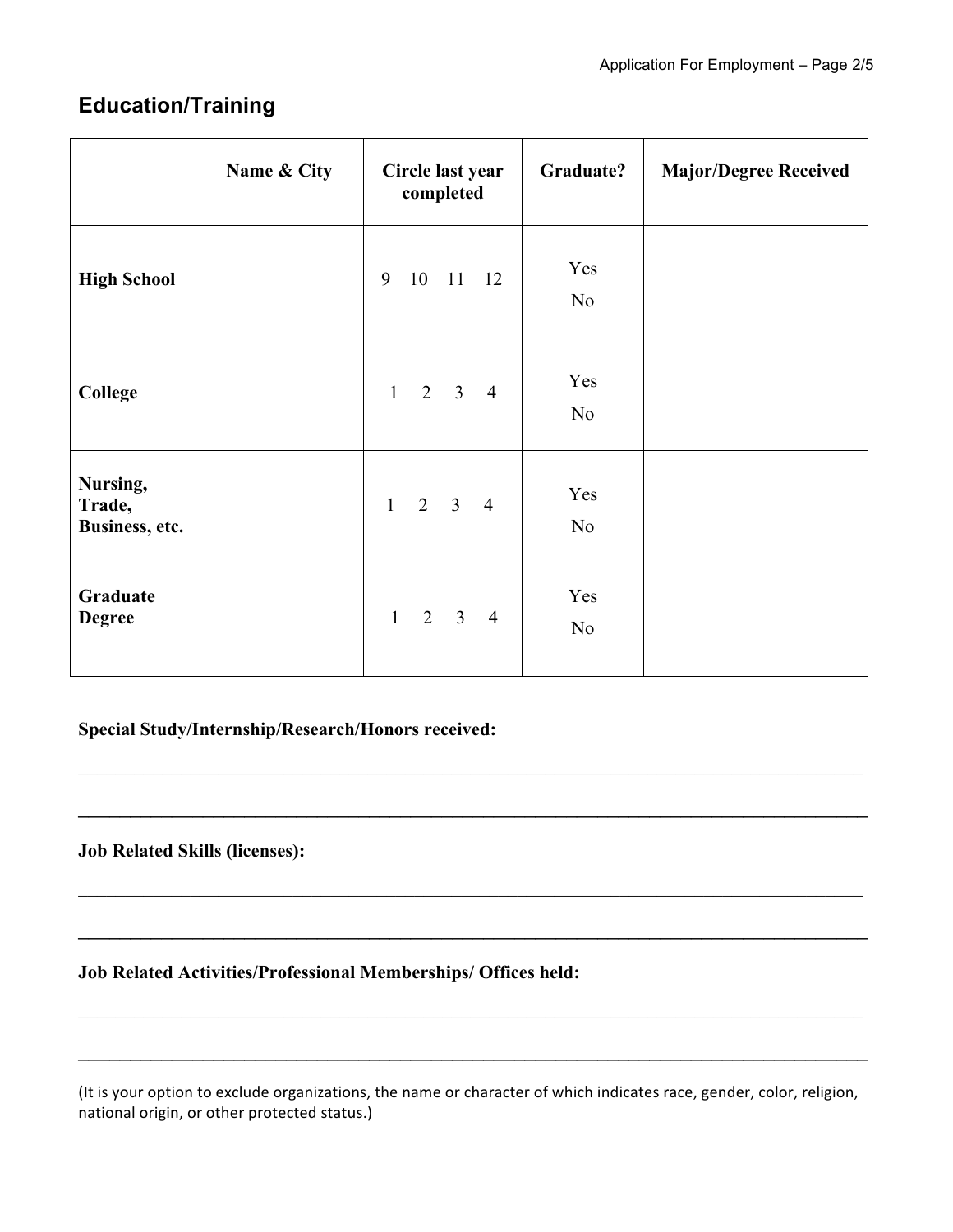### **Education/Training**

|                                      | Name & City | Circle last year<br>completed | Graduate?             | <b>Major/Degree Received</b> |
|--------------------------------------|-------------|-------------------------------|-----------------------|------------------------------|
| <b>High School</b>                   |             | 9<br>10 11 12                 | Yes<br>N <sub>o</sub> |                              |
| <b>College</b>                       |             | $1 \t2 \t3 \t4$               | Yes<br>N <sub>o</sub> |                              |
| Nursing,<br>Trade,<br>Business, etc. |             | $1 \t2 \t3 \t4$               | Yes<br>N <sub>o</sub> |                              |
| Graduate<br><b>Degree</b>            |             | $1 \t2 \t3 \t4$               | Yes<br>N <sub>o</sub> |                              |

#### **Special Study/Internship/Research/Honors received:**

**Job Related Skills (licenses):**

**Job Related Activities/Professional Memberships/ Offices held:**

(It is your option to exclude organizations, the name or character of which indicates race, gender, color, religion, national origin, or other protected status.)

 $\_$  , and the contribution of the contribution of the contribution of the contribution of  $\mathcal{L}_\text{max}$ 

 $\_$ 

 $\_$  , and the contribution of the contribution of the contribution of the contribution of  $\mathcal{L}_\text{max}$ 

\_\_\_\_\_\_\_\_\_\_\_\_\_\_\_\_\_\_\_\_\_\_\_\_\_\_\_\_\_\_\_\_\_\_\_\_\_\_\_\_\_\_\_\_\_\_\_\_\_\_\_\_\_\_\_\_\_\_\_\_\_\_\_\_\_\_\_\_\_\_\_\_\_\_\_\_

 $\mathcal{L}_\mathcal{L} = \{ \mathcal{L}_\mathcal{L} = \{ \mathcal{L}_\mathcal{L} = \{ \mathcal{L}_\mathcal{L} = \{ \mathcal{L}_\mathcal{L} = \{ \mathcal{L}_\mathcal{L} = \{ \mathcal{L}_\mathcal{L} = \{ \mathcal{L}_\mathcal{L} = \{ \mathcal{L}_\mathcal{L} = \{ \mathcal{L}_\mathcal{L} = \{ \mathcal{L}_\mathcal{L} = \{ \mathcal{L}_\mathcal{L} = \{ \mathcal{L}_\mathcal{L} = \{ \mathcal{L}_\mathcal{L} = \{ \mathcal{L}_\mathcal{$ 

\_\_\_\_\_\_\_\_\_\_\_\_\_\_\_\_\_\_\_\_\_\_\_\_\_\_\_\_\_\_\_\_\_\_\_\_\_\_\_\_\_\_\_\_\_\_\_\_\_\_\_\_\_\_\_\_\_\_\_\_\_\_\_\_\_\_\_\_\_\_\_\_\_\_\_\_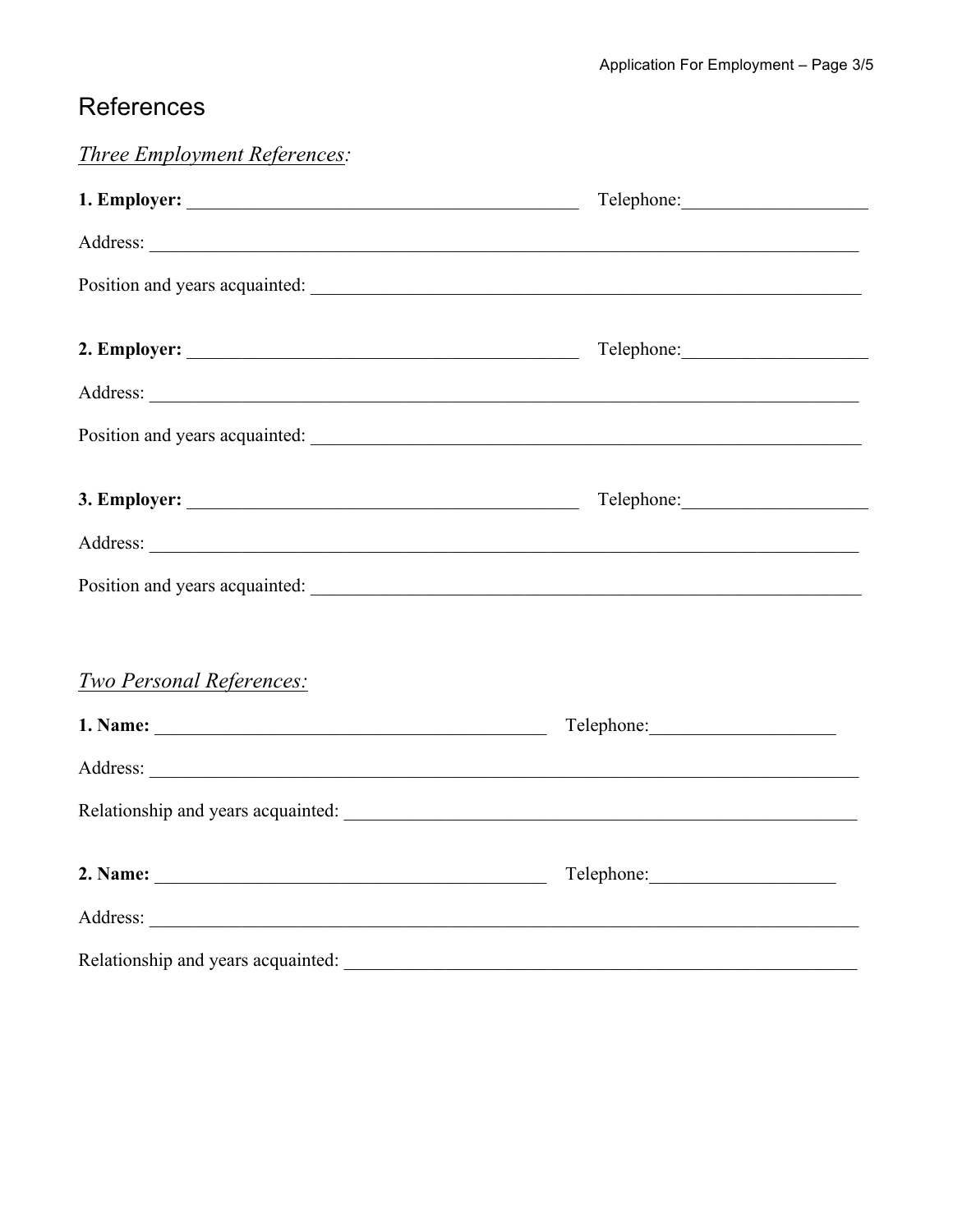## References

| <i>Three Employment References:</i> |                                |
|-------------------------------------|--------------------------------|
|                                     |                                |
|                                     |                                |
|                                     | Position and years acquainted: |
|                                     |                                |
|                                     |                                |
|                                     |                                |
|                                     |                                |
|                                     |                                |
|                                     |                                |
|                                     |                                |
| <b>Two Personal References:</b>     |                                |
|                                     |                                |
|                                     |                                |
|                                     |                                |
|                                     |                                |
|                                     |                                |
|                                     |                                |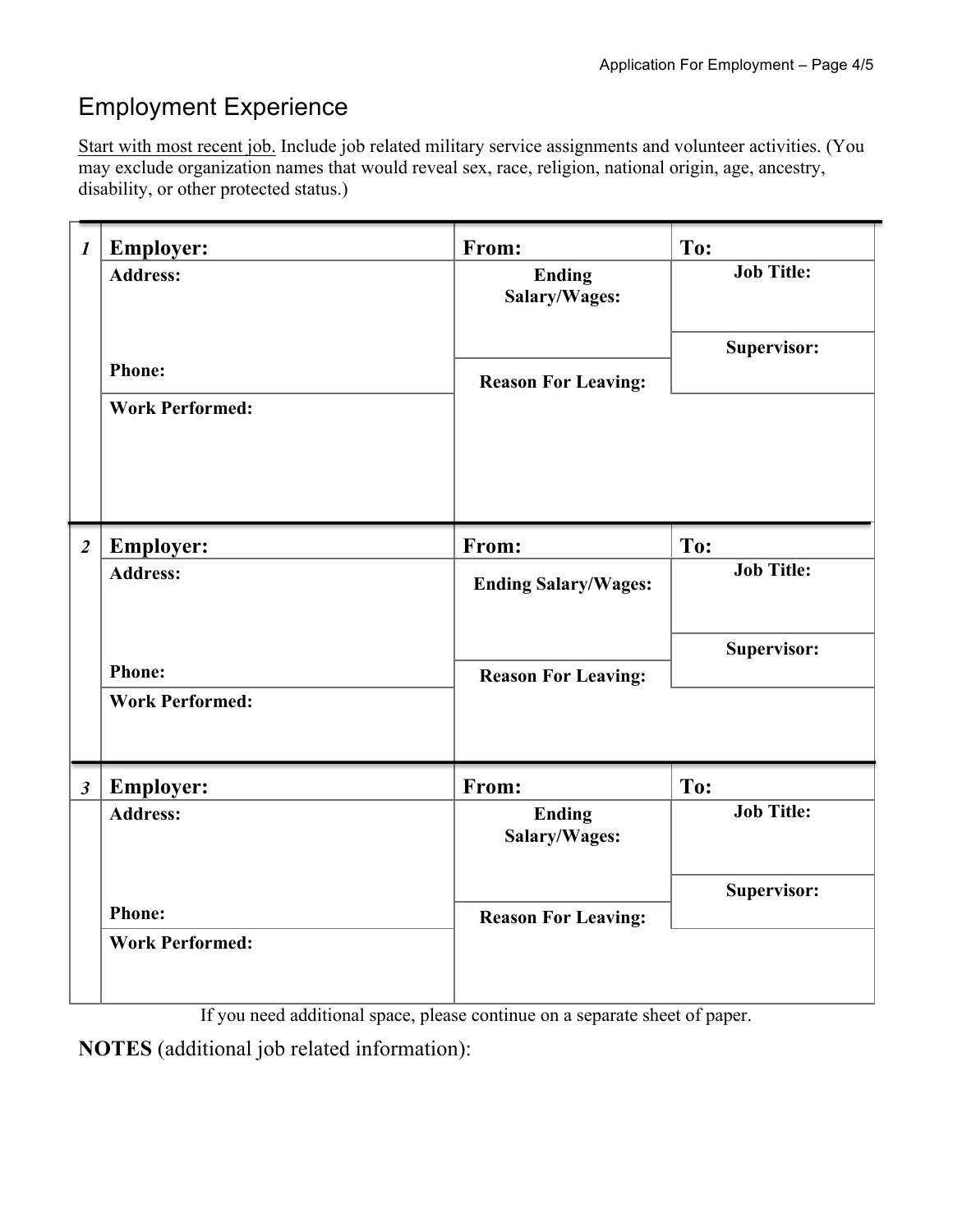# Employment Experience

Start with most recent job. Include job related military service assignments and volunteer activities. (You may exclude organization names that would reveal sex, race, religion, national origin, age, ancestry, disability, or other protected status.)

| $\boldsymbol{l}$     | <b>Employer:</b><br><b>Address:</b><br><b>Phone:</b><br><b>Work Performed:</b> | From:<br><b>Ending</b><br>Salary/Wages:<br><b>Reason For Leaving:</b> | To:<br><b>Job Title:</b><br>Supervisor: |
|----------------------|--------------------------------------------------------------------------------|-----------------------------------------------------------------------|-----------------------------------------|
| $\overline{2}$       | <b>Employer:</b><br><b>Address:</b><br><b>Phone:</b><br><b>Work Performed:</b> | From:<br><b>Ending Salary/Wages:</b><br><b>Reason For Leaving:</b>    | To:<br><b>Job Title:</b><br>Supervisor: |
| $\boldsymbol{\beta}$ | <b>Employer:</b><br><b>Address:</b><br><b>Phone:</b><br><b>Work Performed:</b> | From:<br><b>Ending</b><br>Salary/Wages:<br><b>Reason For Leaving:</b> | To:<br><b>Job Title:</b><br>Supervisor: |

If you need additional space, please continue on a separate sheet of paper.

**NOTES** (additional job related information):